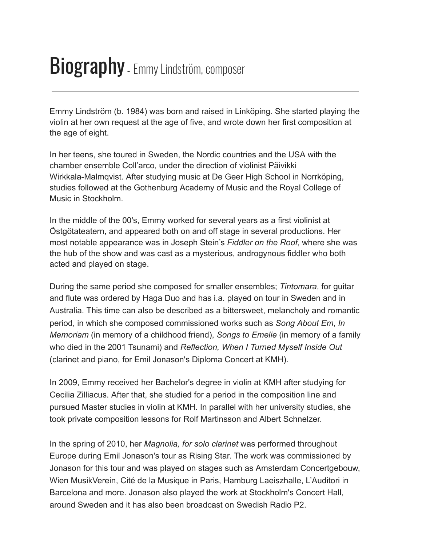## **Biography** - Emmy Lindström, composer

Emmy Lindström (b. 1984) was born and raised in Linköping. She started playing the violin at her own request at the age of five, and wrote down her first composition at the age of eight.

In her teens, she toured in Sweden, the Nordic countries and the USA with the chamber ensemble Coll'arco, under the direction of violinist Päivikki Wirkkala-Malmqvist. After studying music at De Geer High School in Norrköping, studies followed at the Gothenburg Academy of Music and the Royal College of Music in Stockholm.

In the middle of the 00's, Emmy worked for several years as a first violinist at Östgötateatern, and appeared both on and off stage in several productions. Her most notable appearance was in Joseph Stein's *Fiddler on the Roof*, where she was the hub of the show and was cast as a mysterious, androgynous fiddler who both acted and played on stage.

During the same period she composed for smaller ensembles; *Tintomara*, for guitar and flute was ordered by Haga Duo and has i.a. played on tour in Sweden and in Australia. This time can also be described as a bittersweet, melancholy and romantic period, in which she composed commissioned works such as *Song About Em, In Memoriam* (in memory of a childhood friend), *Songs to Emelie* (in memory of a family who died in the 2001 Tsunami) and *Reflection, When I Turned Myself Inside Out* (clarinet and piano, for Emil Jonason's Diploma Concert at KMH).

In 2009, Emmy received her Bachelor's degree in violin at KMH after studying for Cecilia Zilliacus. After that, she studied for a period in the composition line and pursued Master studies in violin at KMH. In parallel with her university studies, she took private composition lessons for Rolf Martinsson and Albert Schnelzer.

In the spring of 2010, her *Magnolia, for solo clarinet* was performed throughout Europe during Emil Jonason's tour as Rising Star. The work was commissioned b\ Jonason for this tour and was pla\ed on stages such as Amsterdam Concertgebouw, Wien MusikVerein, Cité de la Musique in Paris, Hamburg Laeiszhalle, L'Auditori in Barcelona and more. Jonason also played the work at Stockholm's Concert Hall, around Sweden and it has also been broadcast on Swedish Radio P2.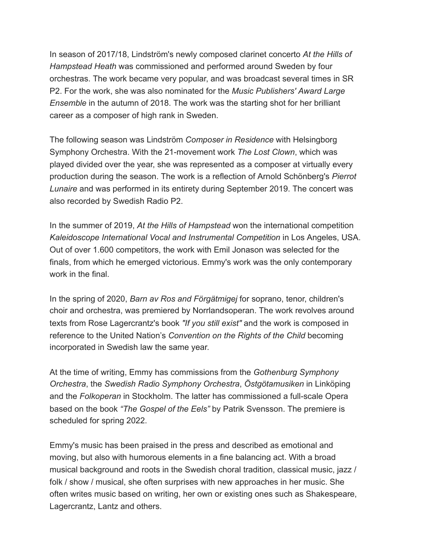In season of 2017/18, Lindström's newly composed clarinet concerto *At the Hills of Hampstead Heath* was commissioned and performed around Sweden by four orchestras. The work became very popular, and was broadcast several times in SR P2. For the work, she was also nominated for the *Music Publishers' Award Large Ensemble* in the autumn of 2018. The work was the starting shot for her brilliant career as a composer of high rank in Sweden.

The following season was Lindström *Composer in Residence* with Helsingborg Symphony Orchestra. With the 21-movement work *The Lost Clown*, which was played divided over the year, she was represented as a composer at virtually every production during the season. The work is a reflection of Arnold Schönberg's *Pierrot Lunaire* and was performed in its entirety during September 2019. The concert was also recorded by Swedish Radio P2.

In the summer of 2019, *At the Hills of Hampstead* won the international competition Kaleidoscope International Vocal and Instrumental Competition in Los Angeles, USA. Out of over 1.600 competitors, the work with Emil Jonason was selected for the finals, from which he emerged victorious. Emmy's work was the only contemporary work in the final.

In the spring of 2020, *Barn av Ros and Förgätmigej* for soprano, tenor, children's choir and orchestra, was premiered b\ Norrlandsoperan. The work revolves around texts from Rose Lagercrantz's book "If you still exist" and the work is composed in reference to the United Nation's *Convention on the Rights of the Child* becoming incorporated in Swedish law the same year.

At the time of writing, Emmy has commissions from the *Gothenburg Symphony Orchestra, the Swedish Radio Symphony Orchestra, Ostgötamusiken in Linköping* and the *Folkoperan* in Stockholm. The latter has commissioned a full-scale Opera based on the book "The Gospel of the Eels" by Patrik Svensson. The premiere is scheduled for spring 2022.

Emmy's music has been praised in the press and described as emotional and moving, but also with humorous elements in a fine balancing act. With a broad musical background and roots in the Swedish choral tradition, classical music, jazz / folk / show / musical, she often surprises with new approaches in her music. She often writes music based on writing, her own or existing ones such as Shakespeare, Lagercrantz, Lantz and others.